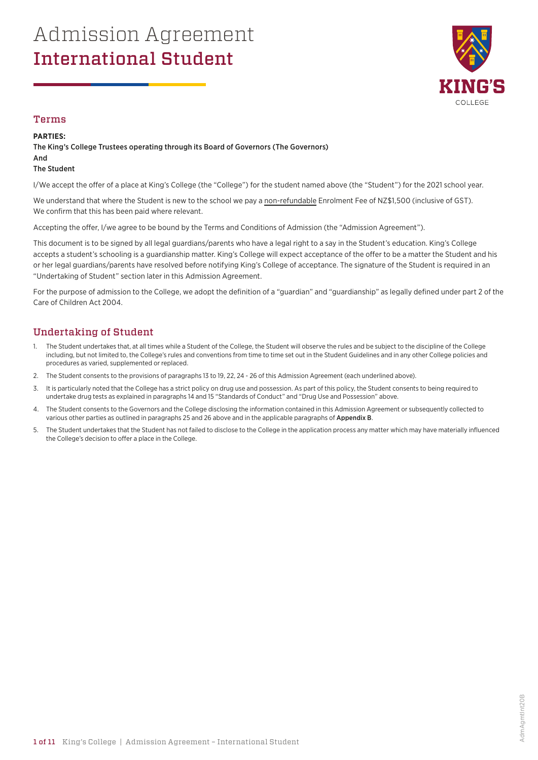# Admission Agreement International Student



### Terms

#### **PARTIES:**

The King's College Trustees operating through its Board of Governors (The Governors)

#### And The Student

I/We accept the offer of a place at King's College (the "College") for the student named above (the "Student") for the 2021 school year.

We understand that where the Student is new to the school we pay a non-refundable Enrolment Fee of NZ\$1,500 (inclusive of GST). We confirm that this has been paid where relevant.

Accepting the offer, I/we agree to be bound by the Terms and Conditions of Admission (the "Admission Agreement").

This document is to be signed by all legal guardians/parents who have a legal right to a say in the Student's education. King's College accepts a student's schooling is a guardianship matter. King's College will expect acceptance of the offer to be a matter the Student and his or her legal guardians/parents have resolved before notifying King's College of acceptance. The signature of the Student is required in an "Undertaking of Student" section later in this Admission Agreement.

For the purpose of admission to the College, we adopt the definition of a "guardian" and "guardianship" as legally defined under part 2 of the Care of Children Act 2004.

## Undertaking of Student

- The Student undertakes that, at all times while a Student of the College, the Student will observe the rules and be subject to the discipline of the College including, but not limited to, the College's rules and conventions from time to time set out in the Student Guidelines and in any other College policies and procedures as varied, supplemented or replaced.
- 2. The Student consents to the provisions of paragraphs 13 to 19, 22, 24 26 of this Admission Agreement (each underlined above).
- 3. It is particularly noted that the College has a strict policy on drug use and possession. As part of this policy, the Student consents to being required to undertake drug tests as explained in paragraphs 14 and 15 "Standards of Conduct" and "Drug Use and Possession" above.
- 4. The Student consents to the Governors and the College disclosing the information contained in this Admission Agreement or subsequently collected to various other parties as outlined in paragraphs 25 and 26 above and in the applicable paragraphs of Appendix B.
- 5. The Student undertakes that the Student has not failed to disclose to the College in the application process any matter which may have materially influenced the College's decision to offer a place in the College.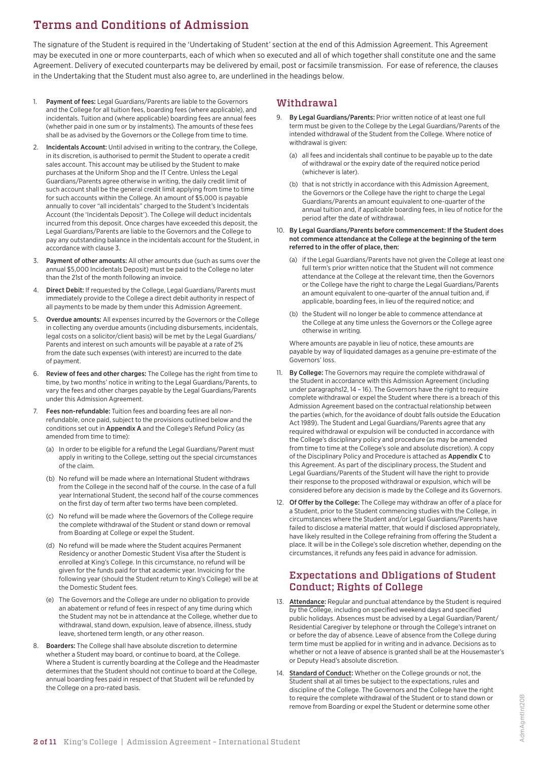## Terms and Conditions of Admission

The signature of the Student is required in the 'Undertaking of Student' section at the end of this Admission Agreement. This Agreement may be executed in one or more counterparts, each of which when so executed and all of which together shall constitute one and the same Agreement. Delivery of executed counterparts may be delivered by email, post or facsimile transmission. For ease of reference, the clauses in the Undertaking that the Student must also agree to, are underlined in the headings below.

- 1. Payment of fees: Legal Guardians/Parents are liable to the Governors and the College for all tuition fees, boarding fees (where applicable), and incidentals. Tuition and (where applicable) boarding fees are annual fees (whether paid in one sum or by instalments). The amounts of these fees shall be as advised by the Governors or the College from time to time.
- 2. Incidentals Account: Until advised in writing to the contrary, the College, in its discretion, is authorised to permit the Student to operate a credit sales account. This account may be utilised by the Student to make purchases at the Uniform Shop and the IT Centre. Unless the Legal Guardians/Parents agree otherwise in writing, the daily credit limit of such account shall be the general credit limit applying from time to time for such accounts within the College. An amount of \$5,000 is payable annually to cover "all incidentals" charged to the Student's Incidentals Account (the 'Incidentals Deposit'). The College will deduct incidentals incurred from this deposit. Once charges have exceeded this deposit, the Legal Guardians/Parents are liable to the Governors and the College to pay any outstanding balance in the incidentals account for the Student, in accordance with clause 3.
- 3. Payment of other amounts: All other amounts due (such as sums over the annual \$5,000 Incidentals Deposit) must be paid to the College no later than the 21st of the month following an invoice.
- 4. Direct Debit: If requested by the College, Legal Guardians/Parents must immediately provide to the College a direct debit authority in respect of all payments to be made by them under this Admission Agreement.
- 5. Overdue amounts: All expenses incurred by the Governors or the College in collecting any overdue amounts (including disbursements, incidentals, legal costs on a solicitor/client basis) will be met by the Legal Guardians/ Parents and interest on such amounts will be payable at a rate of 2% from the date such expenses (with interest) are incurred to the date of payment.
- 6. Review of fees and other charges: The College has the right from time to time, by two months' notice in writing to the Legal Guardians/Parents, to vary the fees and other charges payable by the Legal Guardians/Parents under this Admission Agreement.
- 7. Fees non-refundable: Tuition fees and boarding fees are all nonrefundable, once paid, subject to the provisions outlined below and the conditions set out in Appendix A and the College's Refund Policy (as amended from time to time):
	- (a) In order to be eligible for a refund the Legal Guardians/Parent must apply in writing to the College, setting out the special circumstances of the claim.
	- (b) No refund will be made where an International Student withdraws from the College in the second half of the course. In the case of a full year International Student, the second half of the course commences on the first day of term after two terms have been completed.
	- (c) No refund will be made where the Governors of the College require the complete withdrawal of the Student or stand down or removal from Boarding at College or expel the Student.
	- (d) No refund will be made where the Student acquires Permanent Residency or another Domestic Student Visa after the Student is enrolled at King's College. In this circumstance, no refund will be given for the funds paid for that academic year. Invoicing for the following year (should the Student return to King's College) will be at the Domestic Student fees.
	- (e) The Governors and the College are under no obligation to provide an abatement or refund of fees in respect of any time during which the Student may not be in attendance at the College, whether due to withdrawal, stand down, expulsion, leave of absence, illness, study leave, shortened term length, or any other reason.
- Boarders: The College shall have absolute discretion to determine whether a Student may board, or continue to board, at the College. Where a Student is currently boarding at the College and the Headmaster determines that the Student should not continue to board at the College, annual boarding fees paid in respect of that Student will be refunded by the College on a pro-rated basis.

### Withdrawal

- 9. By Legal Guardians/Parents: Prior written notice of at least one full term must be given to the College by the Legal Guardians/Parents of the intended withdrawal of the Student from the College. Where notice of withdrawal is given:
	- (a) all fees and incidentals shall continue to be payable up to the date of withdrawal or the expiry date of the required notice period (whichever is later).
	- (b) that is not strictly in accordance with this Admission Agreement, the Governors or the College have the right to charge the Legal Guardians/Parents an amount equivalent to one-quarter of the annual tuition and, if applicable boarding fees, in lieu of notice for the period after the date of withdrawal.
- 10. By Legal Guardians/Parents before commencement: If the Student does not commence attendance at the College at the beginning of the term referred to in the offer of place, then:
	- (a) if the Legal Guardians/Parents have not given the College at least one full term's prior written notice that the Student will not commence attendance at the College at the relevant time, then the Governors or the College have the right to charge the Legal Guardians/Parents an amount equivalent to one-quarter of the annual tuition and, if applicable, boarding fees, in lieu of the required notice; and
	- (b) the Student will no longer be able to commence attendance at the College at any time unless the Governors or the College agree otherwise in writing.

Where amounts are payable in lieu of notice, these amounts are payable by way of liquidated damages as a genuine pre-estimate of the Governors' loss.

- 11. By College: The Governors may require the complete withdrawal of the Student in accordance with this Admission Agreement (including under paragraphs12, 14 – 16). The Governors have the right to require complete withdrawal or expel the Student where there is a breach of this Admission Agreement based on the contractual relationship between the parties (which, for the avoidance of doubt falls outside the Education Act 1989). The Student and Legal Guardians/Parents agree that any required withdrawal or expulsion will be conducted in accordance with the College's disciplinary policy and procedure (as may be amended from time to time at the College's sole and absolute discretion). A copy of the Disciplinary Policy and Procedure is attached as Appendix C to this Agreement. As part of the disciplinary process, the Student and Legal Guardians/Parents of the Student will have the right to provide their response to the proposed withdrawal or expulsion, which will be considered before any decision is made by the College and its Governors.
- 12. Of Offer by the College: The College may withdraw an offer of a place for a Student, prior to the Student commencing studies with the College, in circumstances where the Student and/or Legal Guardians/Parents have failed to disclose a material matter, that would if disclosed appropriately, have likely resulted in the College refraining from offering the Student a place. It will be in the College's sole discretion whether, depending on the circumstances, it refunds any fees paid in advance for admission.

## Expectations and Obligations of Student Conduct; Rights of College

- 13. Attendance: Regular and punctual attendance by the Student is required by the College, including on specified weekend days and specified public holidays. Absences must be advised by a Legal Guardian/Parent/ Residential Caregiver by telephone or through the College's intranet on or before the day of absence. Leave of absence from the College during term time must be applied for in writing and in advance. Decisions as to whether or not a leave of absence is granted shall be at the Housemaster's or Deputy Head's absolute discretion.
- 14. Standard of Conduct: Whether on the College grounds or not, the Student shall at all times be subject to the expectations, rules and discipline of the College. The Governors and the College have the right to require the complete withdrawal of the Student or to stand down or remove from Boarding or expel the Student or determine some other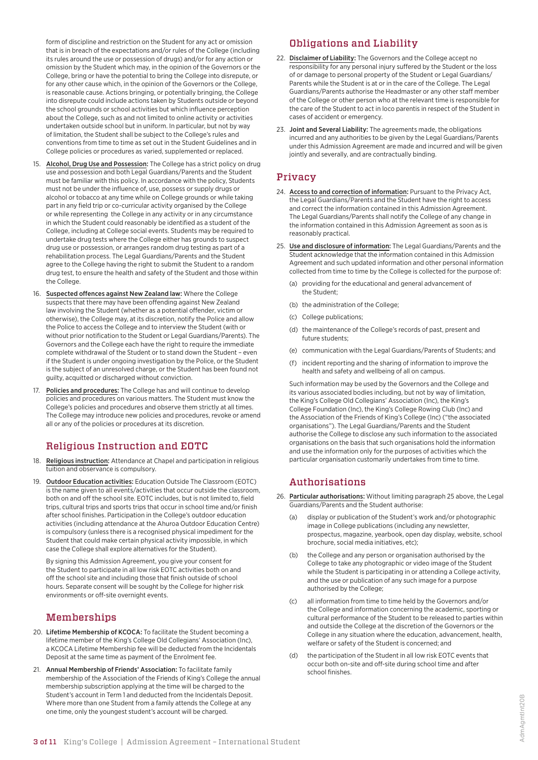form of discipline and restriction on the Student for any act or omission that is in breach of the expectations and/or rules of the College (including its rules around the use or possession of drugs) and/or for any action or omission by the Student which may, in the opinion of the Governors or the College, bring or have the potential to bring the College into disrepute, or for any other cause which, in the opinion of the Governors or the College, is reasonable cause. Actions bringing, or potentially bringing, the College into disrepute could include actions taken by Students outside or beyond the school grounds or school activities but which influence perception about the College, such as and not limited to online activity or activities undertaken outside school but in uniform. In particular, but not by way of limitation, the Student shall be subject to the College's rules and conventions from time to time as set out in the Student Guidelines and in College policies or procedures as varied, supplemented or replaced.

- 15. Alcohol, Drug Use and Possession: The College has a strict policy on drug use and possession and both Legal Guardians/Parents and the Student must be familiar with this policy. In accordance with the policy, Students must not be under the influence of, use, possess or supply drugs or alcohol or tobacco at any time while on College grounds or while taking part in any field trip or co-curricular activity organised by the College or while representing the College in any activity or in any circumstance in which the Student could reasonably be identified as a student of the College, including at College social events. Students may be required to undertake drug tests where the College either has grounds to suspect drug use or possession, or arranges random drug testing as part of a rehabilitation process. The Legal Guardians/Parents and the Student agree to the College having the right to submit the Student to a random drug test, to ensure the health and safety of the Student and those within the College.
- 16. Suspected offences against New Zealand law: Where the College suspects that there may have been offending against New Zealand law involving the Student (whether as a potential offender, victim or otherwise), the College may, at its discretion, notify the Police and allow the Police to access the College and to interview the Student (with or without prior notification to the Student or Legal Guardians/Parents). The Governors and the College each have the right to require the immediate complete withdrawal of the Student or to stand down the Student – even if the Student is under ongoing investigation by the Police, or the Student is the subject of an unresolved charge, or the Student has been found not guilty, acquitted or discharged without conviction.
- 17. Policies and procedures: The College has and will continue to develop policies and procedures on various matters. The Student must know the College's policies and procedures and observe them strictly at all times. The College may introduce new policies and procedures, revoke or amend all or any of the policies or procedures at its discretion.

## Religious Instruction and EOTC

- 18. Religious instruction: Attendance at Chapel and participation in religious tuition and observance is compulsory.
- 19. Outdoor Education activities: Education Outside The Classroom (EOTC) is the name given to all events/activities that occur outside the classroom, both on and off the school site. EOTC includes, but is not limited to, field trips, cultural trips and sports trips that occur in school time and/or finish after school finishes. Participation in the College's outdoor education activities (including attendance at the Ahuroa Outdoor Education Centre) is compulsory (unless there is a recognised physical impediment for the Student that could make certain physical activity impossible, in which case the College shall explore alternatives for the Student).

By signing this Admission Agreement, you give your consent for the Student to participate in all low risk EOTC activities both on and off the school site and including those that finish outside of school hours. Separate consent will be sought by the College for higher risk environments or off-site overnight events.

## Memberships

- 20. Lifetime Membership of KCOCA: To facilitate the Student becoming a lifetime member of the King's College Old Collegians' Association (Inc), a KCOCA Lifetime Membership fee will be deducted from the Incidentals Deposit at the same time as payment of the Enrolment fee.
- 21. Annual Membership of Friends' Association: To facilitate family membership of the Association of the Friends of King's College the annual membership subscription applying at the time will be charged to the Student's account in Term 1 and deducted from the Incidentals Deposit. Where more than one Student from a family attends the College at any one time, only the youngest student's account will be charged.

## Obligations and Liability

- 22. Disclaimer of Liability: The Governors and the College accept no responsibility for any personal injury suffered by the Student or the loss of or damage to personal property of the Student or Legal Guardians/ Parents while the Student is at or in the care of the College. The Legal Guardians/Parents authorise the Headmaster or any other staff member of the College or other person who at the relevant time is responsible for the care of the Student to act in loco parentis in respect of the Student in cases of accident or emergency.
- 23. Joint and Several Liability: The agreements made, the obligations incurred and any authorities to be given by the Legal Guardians/Parents under this Admission Agreement are made and incurred and will be given jointly and severally, and are contractually binding.

## Privacy

- 24. Access to and correction of information: Pursuant to the Privacy Act, the Legal Guardians/Parents and the Student have the right to access and correct the information contained in this Admission Agreement. The Legal Guardians/Parents shall notify the College of any change in the information contained in this Admission Agreement as soon as is reasonably practical.
- 25. Use and disclosure of information: The Legal Guardians/Parents and the Student acknowledge that the information contained in this Admission Agreement and such updated information and other personal information collected from time to time by the College is collected for the purpose of:
	- (a) providing for the educational and general advancement of the Student;
	- (b) the administration of the College:
	- (c) College publications;
	- (d) the maintenance of the College's records of past, present and future students;
	- (e) communication with the Legal Guardians/Parents of Students; and
	- (f) incident reporting and the sharing of information to improve the health and safety and wellbeing of all on campus.

Such information may be used by the Governors and the College and its various associated bodies including, but not by way of limitation, the King's College Old Collegians' Association (Inc), the King's College Foundation (Inc), the King's College Rowing Club (Inc) and the Association of the Friends of King's College (Inc) ("the associated organisations"). The Legal Guardians/Parents and the Student authorise the College to disclose any such information to the associated organisations on the basis that such organisations hold the information and use the information only for the purposes of activities which the particular organisation customarily undertakes from time to time.

#### Authorisations

- 26. Particular authorisations: Without limiting paragraph 25 above, the Legal Guardians/Parents and the Student authorise:
	- (a) display or publication of the Student's work and/or photographic image in College publications (including any newsletter, prospectus, magazine, yearbook, open day display, website, school brochure, social media initiatives, etc);
	- (b) the College and any person or organisation authorised by the College to take any photographic or video image of the Student while the Student is participating in or attending a College activity, and the use or publication of any such image for a purpose authorised by the College;
	- (c) all information from time to time held by the Governors and/or the College and information concerning the academic, sporting or cultural performance of the Student to be released to parties within and outside the College at the discretion of the Governors or the College in any situation where the education, advancement, health, welfare or safety of the Student is concerned; and
	- (d) the participation of the Student in all low risk EOTC events that occur both on-site and off-site during school time and after school finishes.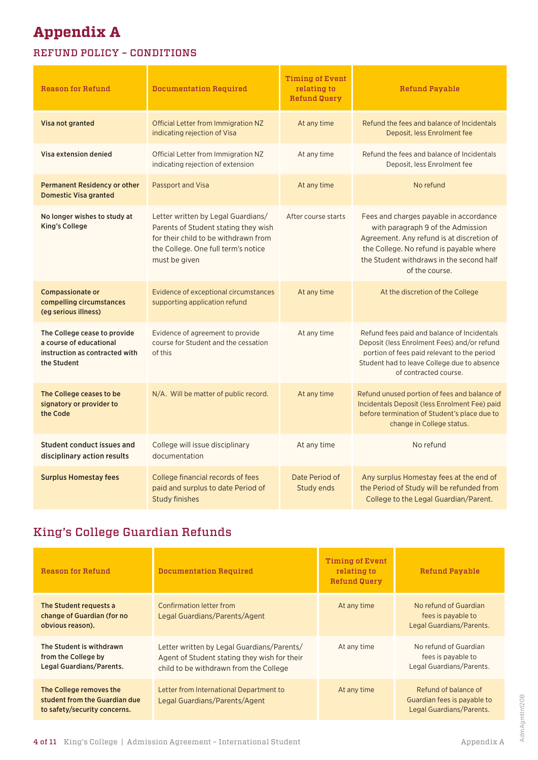# **Appendix A**

## REFUND POLICY – CONDITIONS

| Reason for Refund                                                                                        | Documentation Required                                                                                                                                                     | <b>Timing of Event</b><br>relating to<br><b>Refund Query</b> | <b>Refund Payable</b>                                                                                                                                                                                                             |  |
|----------------------------------------------------------------------------------------------------------|----------------------------------------------------------------------------------------------------------------------------------------------------------------------------|--------------------------------------------------------------|-----------------------------------------------------------------------------------------------------------------------------------------------------------------------------------------------------------------------------------|--|
| Visa not granted                                                                                         | Official Letter from Immigration NZ<br>indicating rejection of Visa                                                                                                        | At any time                                                  | Refund the fees and balance of Incidentals<br>Deposit, less Enrolment fee                                                                                                                                                         |  |
| Visa extension denied                                                                                    | Official Letter from Immigration NZ<br>indicating rejection of extension                                                                                                   | At any time                                                  | Refund the fees and balance of Incidentals<br>Deposit, less Enrolment fee                                                                                                                                                         |  |
| <b>Permanent Residency or other</b><br><b>Domestic Visa granted</b>                                      | Passport and Visa                                                                                                                                                          | At any time                                                  | No refund                                                                                                                                                                                                                         |  |
| No longer wishes to study at<br><b>King's College</b>                                                    | Letter written by Legal Guardians/<br>Parents of Student stating they wish<br>for their child to be withdrawn from<br>the College. One full term's notice<br>must be given | After course starts                                          | Fees and charges payable in accordance<br>with paragraph 9 of the Admission<br>Agreement. Any refund is at discretion of<br>the College. No refund is payable where<br>the Student withdraws in the second half<br>of the course. |  |
| <b>Compassionate or</b><br>compelling circumstances<br>(eg serious illness)                              | Evidence of exceptional circumstances<br>supporting application refund                                                                                                     | At any time                                                  | At the discretion of the College                                                                                                                                                                                                  |  |
| The College cease to provide<br>a course of educational<br>instruction as contracted with<br>the Student | Evidence of agreement to provide<br>course for Student and the cessation<br>of this                                                                                        | At any time                                                  | Refund fees paid and balance of Incidentals<br>Deposit (less Enrolment Fees) and/or refund<br>portion of fees paid relevant to the period<br>Student had to leave College due to absence<br>of contracted course.                 |  |
| The College ceases to be<br>signatory or provider to<br>the Code                                         | N/A. Will be matter of public record.                                                                                                                                      | At any time                                                  | Refund unused portion of fees and balance of<br>Incidentals Deposit (less Enrolment Fee) paid<br>before termination of Student's place due to<br>change in College status.                                                        |  |
| <b>Student conduct issues and</b><br>disciplinary action results                                         | College will issue disciplinary<br>documentation                                                                                                                           | At any time                                                  | No refund                                                                                                                                                                                                                         |  |
| <b>Surplus Homestay fees</b>                                                                             | College financial records of fees<br>paid and surplus to date Period of<br><b>Study finishes</b>                                                                           | Date Period of<br>Study ends                                 | Any surplus Homestay fees at the end of<br>the Period of Study will be refunded from<br>College to the Legal Guardian/Parent.                                                                                                     |  |

## King's College Guardian Refunds

| Reason for Refund                                                                        | Documentation Required                                                                                                               | Timing of Event<br>relating to<br><b>Refund Query</b> | Refund Payable                                                                  |
|------------------------------------------------------------------------------------------|--------------------------------------------------------------------------------------------------------------------------------------|-------------------------------------------------------|---------------------------------------------------------------------------------|
| The Student requests a<br>change of Guardian (for no<br>obvious reason).                 | Confirmation letter from<br>Legal Guardians/Parents/Agent                                                                            | At any time                                           | No refund of Guardian<br>fees is payable to<br>Legal Guardians/Parents.         |
| The Student is withdrawn<br>from the College by<br>Legal Guardians/Parents.              | Letter written by Legal Guardians/Parents/<br>Agent of Student stating they wish for their<br>child to be withdrawn from the College | At any time                                           | No refund of Guardian<br>fees is payable to<br>Legal Guardians/Parents.         |
| The College removes the<br>student from the Guardian due<br>to safety/security concerns. | Letter from International Department to<br>Legal Guardians/Parents/Agent                                                             | At any time                                           | Refund of balance of<br>Guardian fees is payable to<br>Legal Guardians/Parents. |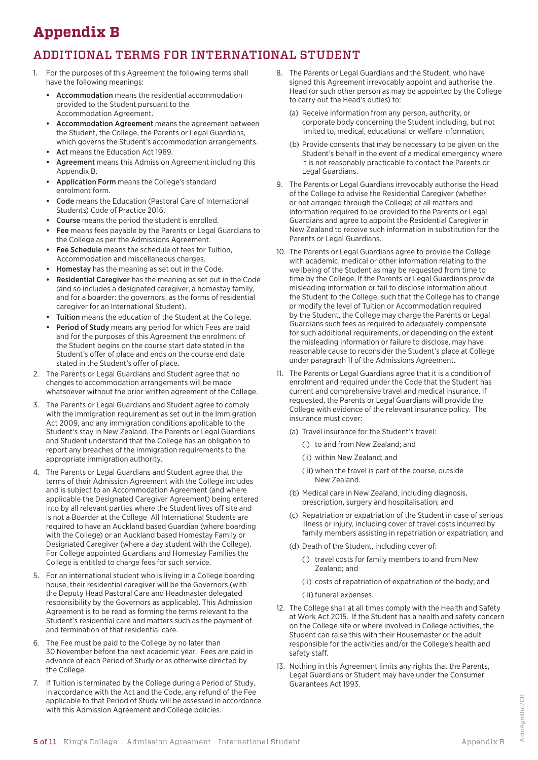# **Appendix B**

## ADDITIONAL TERMS FOR INTERNATIONAL STUDENT

- 1. For the purposes of this Agreement the following terms shall have the following meanings:
	- **•** Accommodation means the residential accommodation provided to the Student pursuant to the Accommodation Agreement.
	- **•** Accommodation Agreement means the agreement between the Student, the College, the Parents or Legal Guardians, which governs the Student's accommodation arrangements.
	- **•** Act means the Education Act 1989.
	- **•** Agreement means this Admission Agreement including this Appendix B.
	- **•** Application Form means the College's standard enrolment form.
	- **•** Code means the Education (Pastoral Care of International Students) Code of Practice 2016.
	- **•** Course means the period the student is enrolled.
	- **•** Fee means fees payable by the Parents or Legal Guardians to the College as per the Admissions Agreement.
	- **•** Fee Schedule means the schedule of fees for Tuition, Accommodation and miscellaneous charges.
	- **•** Homestay has the meaning as set out in the Code.
	- **•** Residential Caregiver has the meaning as set out in the Code (and so includes a designated caregiver, a homestay family, and for a boarder: the governors, as the forms of residential caregiver for an International Student).
	- **•** Tuition means the education of the Student at the College.
	- **•** Period of Study means any period for which Fees are paid and for the purposes of this Agreement the enrolment of the Student begins on the course start date stated in the Student's offer of place and ends on the course end date stated in the Student's offer of place.
- 2. The Parents or Legal Guardians and Student agree that no changes to accommodation arrangements will be made whatsoever without the prior written agreement of the College.
- 3. The Parents or Legal Guardians and Student agree to comply with the immigration requirement as set out in the Immigration Act 2009, and any immigration conditions applicable to the Student's stay in New Zealand. The Parents or Legal Guardians and Student understand that the College has an obligation to report any breaches of the immigration requirements to the appropriate immigration authority.
- 4. The Parents or Legal Guardians and Student agree that the terms of their Admission Agreement with the College includes and is subject to an Accommodation Agreement (and where applicable the Designated Caregiver Agreement) being entered into by all relevant parties where the Student lives off site and is not a Boarder at the College All International Students are required to have an Auckland based Guardian (where boarding with the College) or an Auckland based Homestay Family or Designated Caregiver (where a day student with the College). For College appointed Guardians and Homestay Families the College is entitled to charge fees for such service.
- 5. For an international student who is living in a College boarding house, their residential caregiver will be the Governors (with the Deputy Head Pastoral Care and Headmaster delegated responsibility by the Governors as applicable). This Admission Agreement is to be read as forming the terms relevant to the Student's residential care and matters such as the payment of and termination of that residential care.
- 6. The Fee must be paid to the College by no later than 30 November before the next academic year. Fees are paid in advance of each Period of Study or as otherwise directed by the College.
- 7. If Tuition is terminated by the College during a Period of Study, in accordance with the Act and the Code, any refund of the Fee applicable to that Period of Study will be assessed in accordance with this Admission Agreement and College policies.
- 8. The Parents or Legal Guardians and the Student, who have signed this Agreement irrevocably appoint and authorise the Head (or such other person as may be appointed by the College to carry out the Head's duties) to:
	- (a) Receive information from any person, authority, or corporate body concerning the Student including, but not limited to, medical, educational or welfare information;
	- (b) Provide consents that may be necessary to be given on the Student's behalf in the event of a medical emergency where it is not reasonably practicable to contact the Parents or Legal Guardians.
- 9. The Parents or Legal Guardians irrevocably authorise the Head of the College to advise the Residential Caregiver (whether or not arranged through the College) of all matters and information required to be provided to the Parents or Legal Guardians and agree to appoint the Residential Caregiver in New Zealand to receive such information in substitution for the Parents or Legal Guardians.
- 10. The Parents or Legal Guardians agree to provide the College with academic, medical or other information relating to the wellbeing of the Student as may be requested from time to time by the College. If the Parents or Legal Guardians provide misleading information or fail to disclose information about the Student to the College, such that the College has to change or modify the level of Tuition or Accommodation required by the Student, the College may charge the Parents or Legal Guardians such fees as required to adequately compensate for such additional requirements, or depending on the extent the misleading information or failure to disclose, may have reasonable cause to reconsider the Student's place at College under paragraph 11 of the Admissions Agreement.
- 11. The Parents or Legal Guardians agree that it is a condition of enrolment and required under the Code that the Student has current and comprehensive travel and medical insurance. If requested, the Parents or Legal Guardians will provide the College with evidence of the relevant insurance policy. The insurance must cover:
	- (a) Travel insurance for the Student's travel:
		- (i) to and from New Zealand; and
		- (ii) within New Zealand; and
		- (iii) when the travel is part of the course, outside New Zealand.
	- (b) Medical care in New Zealand, including diagnosis, prescription, surgery and hospitalisation; and
	- (c) Repatriation or expatriation of the Student in case of serious illness or injury, including cover of travel costs incurred by family members assisting in repatriation or expatriation; and
	- (d) Death of the Student, including cover of:
		- (i) travel costs for family members to and from New Zealand; and
		- (ii) costs of repatriation of expatriation of the body; and
		- (iii) funeral expenses.
- 12. The College shall at all times comply with the Health and Safety at Work Act 2015. If the Student has a health and safety concern on the College site or where involved in College activities, the Student can raise this with their Housemaster or the adult responsible for the activities and/or the College's health and safety staff.
- 13. Nothing in this Agreement limits any rights that the Parents, Legal Guardians or Student may have under the Consumer Guarantees Act 1993.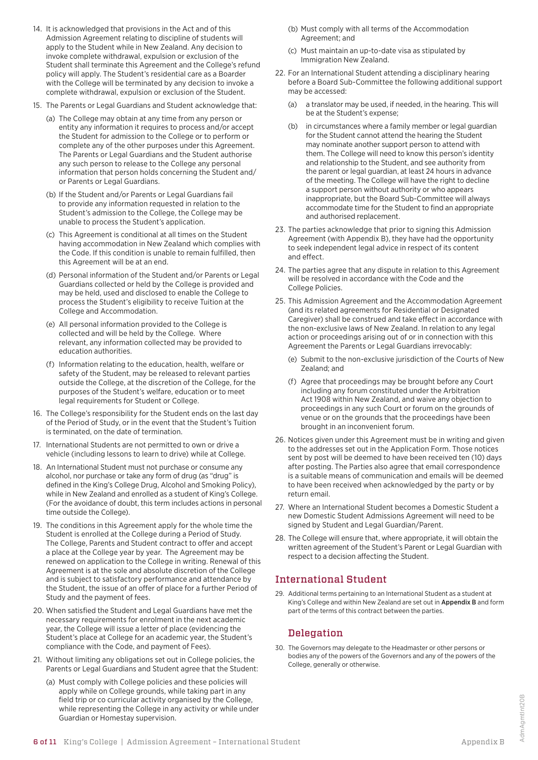- 14. It is acknowledged that provisions in the Act and of this Admission Agreement relating to discipline of students will apply to the Student while in New Zealand. Any decision to invoke complete withdrawal, expulsion or exclusion of the Student shall terminate this Agreement and the College's refund policy will apply. The Student's residential care as a Boarder with the College will be terminated by any decision to invoke a complete withdrawal, expulsion or exclusion of the Student.
- 15. The Parents or Legal Guardians and Student acknowledge that:
	- (a) The College may obtain at any time from any person or entity any information it requires to process and/or accept the Student for admission to the College or to perform or complete any of the other purposes under this Agreement. The Parents or Legal Guardians and the Student authorise any such person to release to the College any personal information that person holds concerning the Student and/ or Parents or Legal Guardians.
	- (b) If the Student and/or Parents or Legal Guardians fail to provide any information requested in relation to the Student's admission to the College, the College may be unable to process the Student's application.
	- (c) This Agreement is conditional at all times on the Student having accommodation in New Zealand which complies with the Code. If this condition is unable to remain fulfilled, then this Agreement will be at an end.
	- (d) Personal information of the Student and/or Parents or Legal Guardians collected or held by the College is provided and may be held, used and disclosed to enable the College to process the Student's eligibility to receive Tuition at the College and Accommodation.
	- (e) All personal information provided to the College is collected and will be held by the College. Where relevant, any information collected may be provided to education authorities.
	- (f) Information relating to the education, health, welfare or safety of the Student, may be released to relevant parties outside the College, at the discretion of the College, for the purposes of the Student's welfare, education or to meet legal requirements for Student or College.
- 16. The College's responsibility for the Student ends on the last day of the Period of Study, or in the event that the Student's Tuition is terminated, on the date of termination.
- 17. International Students are not permitted to own or drive a vehicle (including lessons to learn to drive) while at College.
- 18. An International Student must not purchase or consume any alcohol, nor purchase or take any form of drug (as "drug" is defined in the King's College Drug, Alcohol and Smoking Policy), while in New Zealand and enrolled as a student of King's College. (For the avoidance of doubt, this term includes actions in personal time outside the College).
- 19. The conditions in this Agreement apply for the whole time the Student is enrolled at the College during a Period of Study. The College, Parents and Student contract to offer and accept a place at the College year by year. The Agreement may be renewed on application to the College in writing. Renewal of this Agreement is at the sole and absolute discretion of the College and is subject to satisfactory performance and attendance by the Student, the issue of an offer of place for a further Period of Study and the payment of fees.
- 20. When satisfied the Student and Legal Guardians have met the necessary requirements for enrolment in the next academic year, the College will issue a letter of place (evidencing the Student's place at College for an academic year, the Student's compliance with the Code, and payment of Fees).
- 21. Without limiting any obligations set out in College policies, the Parents or Legal Guardians and Student agree that the Student:
	- (a) Must comply with College policies and these policies will apply while on College grounds, while taking part in any field trip or co curricular activity organised by the College, while representing the College in any activity or while under Guardian or Homestay supervision.
- (b) Must comply with all terms of the Accommodation Agreement; and
- (c) Must maintain an up-to-date visa as stipulated by Immigration New Zealand.
- 22. For an International Student attending a disciplinary hearing before a Board Sub-Committee the following additional support may be accessed:
	- (a) a translator may be used, if needed, in the hearing. This will be at the Student's expense;
	- (b) in circumstances where a family member or legal guardian for the Student cannot attend the hearing the Student may nominate another support person to attend with them. The College will need to know this person's identity and relationship to the Student, and see authority from the parent or legal guardian, at least 24 hours in advance of the meeting. The College will have the right to decline a support person without authority or who appears inappropriate, but the Board Sub-Committee will always accommodate time for the Student to find an appropriate and authorised replacement.
- 23. The parties acknowledge that prior to signing this Admission Agreement (with Appendix B), they have had the opportunity to seek independent legal advice in respect of its content and effect.
- 24. The parties agree that any dispute in relation to this Agreement will be resolved in accordance with the Code and the College Policies.
- 25. This Admission Agreement and the Accommodation Agreement (and its related agreements for Residential or Designated Caregiver) shall be construed and take effect in accordance with the non-exclusive laws of New Zealand. In relation to any legal action or proceedings arising out of or in connection with this Agreement the Parents or Legal Guardians irrevocably:
	- (e) Submit to the non-exclusive jurisdiction of the Courts of New Zealand; and
	- (f) Agree that proceedings may be brought before any Court including any forum constituted under the Arbitration Act 1908 within New Zealand, and waive any objection to proceedings in any such Court or forum on the grounds of venue or on the grounds that the proceedings have been brought in an inconvenient forum.
- 26. Notices given under this Agreement must be in writing and given to the addresses set out in the Application Form. Those notices sent by post will be deemed to have been received ten (10) days after posting. The Parties also agree that email correspondence is a suitable means of communication and emails will be deemed to have been received when acknowledged by the party or by return email.
- 27. Where an International Student becomes a Domestic Student a new Domestic Student Admissions Agreement will need to be signed by Student and Legal Guardian/Parent.
- 28. The College will ensure that, where appropriate, it will obtain the written agreement of the Student's Parent or Legal Guardian with respect to a decision affecting the Student.

## International Student

29. Additional terms pertaining to an International Student as a student at King's College and within New Zealand are set out in Appendix B and form part of the terms of this contract between the parties.

## Delegation

30. The Governors may delegate to the Headmaster or other persons or bodies any of the powers of the Governors and any of the powers of the College, generally or otherwise.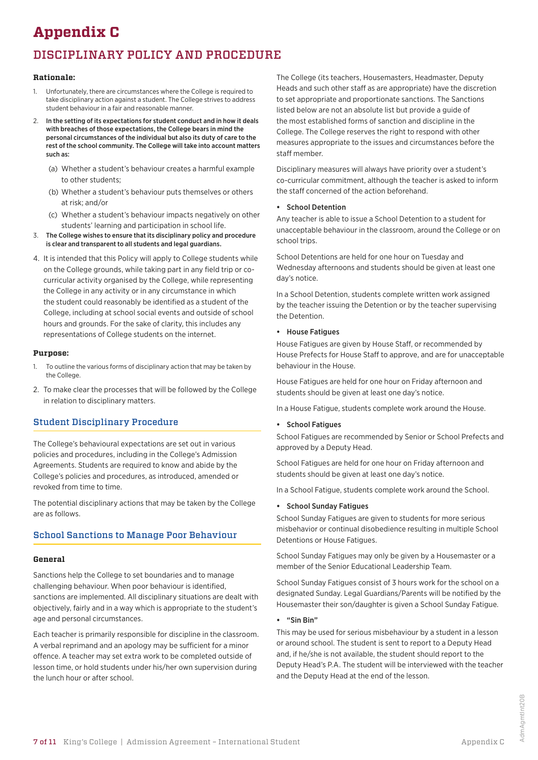# **Appendix C**

# DISCIPLINARY POLICY AND PROCEDURE

### **Rationale:**

- 1. Unfortunately, there are circumstances where the College is required to take disciplinary action against a student. The College strives to address student behaviour in a fair and reasonable manner.
- In the setting of its expectations for student conduct and in how it deals with breaches of those expectations, the College bears in mind the personal circumstances of the individual but also its duty of care to the rest of the school community. The College will take into account matters such as:
	- (a) Whether a student's behaviour creates a harmful example to other students;
	- (b) Whether a student's behaviour puts themselves or others at risk; and/or
	- (c) Whether a student's behaviour impacts negatively on other students' learning and participation in school life.
- 3. The College wishes to ensure that its disciplinary policy and procedure is clear and transparent to all students and legal guardians.
- 4. It is intended that this Policy will apply to College students while on the College grounds, while taking part in any field trip or cocurricular activity organised by the College, while representing the College in any activity or in any circumstance in which the student could reasonably be identified as a student of the College, including at school social events and outside of school hours and grounds. For the sake of clarity, this includes any representations of College students on the internet.

#### **Purpose:**

- To outline the various forms of disciplinary action that may be taken by the College.
- 2. To make clear the processes that will be followed by the College in relation to disciplinary matters.

## Student Disciplinary Procedure

The College's behavioural expectations are set out in various policies and procedures, including in the College's Admission Agreements. Students are required to know and abide by the College's policies and procedures, as introduced, amended or revoked from time to time.

The potential disciplinary actions that may be taken by the College are as follows.

## School Sanctions to Manage Poor Behaviour

#### **General**

Sanctions help the College to set boundaries and to manage challenging behaviour. When poor behaviour is identified, sanctions are implemented. All disciplinary situations are dealt with objectively, fairly and in a way which is appropriate to the student's age and personal circumstances.

Each teacher is primarily responsible for discipline in the classroom. A verbal reprimand and an apology may be sufficient for a minor offence. A teacher may set extra work to be completed outside of lesson time, or hold students under his/her own supervision during the lunch hour or after school.

The College (its teachers, Housemasters, Headmaster, Deputy Heads and such other staff as are appropriate) have the discretion to set appropriate and proportionate sanctions. The Sanctions listed below are not an absolute list but provide a guide of the most established forms of sanction and discipline in the College. The College reserves the right to respond with other measures appropriate to the issues and circumstances before the staff member.

Disciplinary measures will always have priority over a student's co-curricular commitment, although the teacher is asked to inform the staff concerned of the action beforehand.

## **•** School Detention

Any teacher is able to issue a School Detention to a student for unacceptable behaviour in the classroom, around the College or on school trips.

School Detentions are held for one hour on Tuesday and Wednesday afternoons and students should be given at least one day's notice.

In a School Detention, students complete written work assigned by the teacher issuing the Detention or by the teacher supervising the Detention.

#### **•** House Fatigues

House Fatigues are given by House Staff, or recommended by House Prefects for House Staff to approve, and are for unacceptable behaviour in the House.

House Fatigues are held for one hour on Friday afternoon and students should be given at least one day's notice.

In a House Fatigue, students complete work around the House.

#### **•** School Fatigues

School Fatigues are recommended by Senior or School Prefects and approved by a Deputy Head.

School Fatigues are held for one hour on Friday afternoon and students should be given at least one day's notice.

In a School Fatigue, students complete work around the School.

#### **•** School Sunday Fatigues

School Sunday Fatigues are given to students for more serious misbehavior or continual disobedience resulting in multiple School Detentions or House Fatigues.

School Sunday Fatigues may only be given by a Housemaster or a member of the Senior Educational Leadership Team.

School Sunday Fatigues consist of 3 hours work for the school on a designated Sunday. Legal Guardians/Parents will be notified by the Housemaster their son/daughter is given a School Sunday Fatigue.

#### **•** "Sin Bin"

This may be used for serious misbehaviour by a student in a lesson or around school. The student is sent to report to a Deputy Head and, if he/she is not available, the student should report to the Deputy Head's P.A. The student will be interviewed with the teacher and the Deputy Head at the end of the lesson.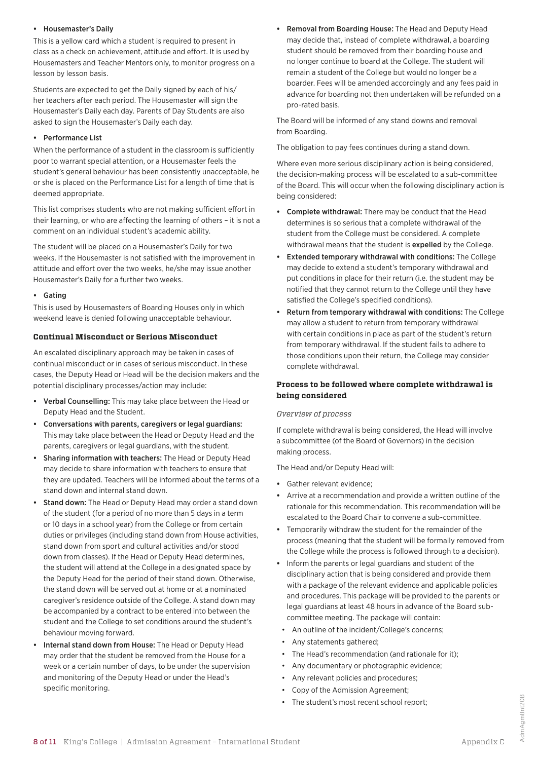#### **•** Housemaster's Daily

This is a yellow card which a student is required to present in class as a check on achievement, attitude and effort. It is used by Housemasters and Teacher Mentors only, to monitor progress on a lesson by lesson basis.

Students are expected to get the Daily signed by each of his/ her teachers after each period. The Housemaster will sign the Housemaster's Daily each day. Parents of Day Students are also asked to sign the Housemaster's Daily each day.

#### **•** Performance List

When the performance of a student in the classroom is sufficiently poor to warrant special attention, or a Housemaster feels the student's general behaviour has been consistently unacceptable, he or she is placed on the Performance List for a length of time that is deemed appropriate.

This list comprises students who are not making sufficient effort in their learning, or who are affecting the learning of others – it is not a comment on an individual student's academic ability.

The student will be placed on a Housemaster's Daily for two weeks. If the Housemaster is not satisfied with the improvement in attitude and effort over the two weeks, he/she may issue another Housemaster's Daily for a further two weeks.

#### **•** Gating

This is used by Housemasters of Boarding Houses only in which weekend leave is denied following unacceptable behaviour.

#### **Continual Misconduct or Serious Misconduct**

An escalated disciplinary approach may be taken in cases of continual misconduct or in cases of serious misconduct. In these cases, the Deputy Head or Head will be the decision makers and the potential disciplinary processes/action may include:

- **•** Verbal Counselling: This may take place between the Head or Deputy Head and the Student.
- **•** Conversations with parents, caregivers or legal guardians: This may take place between the Head or Deputy Head and the parents, caregivers or legal guardians, with the student.
- **•** Sharing information with teachers: The Head or Deputy Head may decide to share information with teachers to ensure that they are updated. Teachers will be informed about the terms of a stand down and internal stand down.
- **•** Stand down: The Head or Deputy Head may order a stand down of the student (for a period of no more than 5 days in a term or 10 days in a school year) from the College or from certain duties or privileges (including stand down from House activities, stand down from sport and cultural activities and/or stood down from classes). If the Head or Deputy Head determines, the student will attend at the College in a designated space by the Deputy Head for the period of their stand down. Otherwise, the stand down will be served out at home or at a nominated caregiver's residence outside of the College. A stand down may be accompanied by a contract to be entered into between the student and the College to set conditions around the student's behaviour moving forward.
- **•** Internal stand down from House: The Head or Deputy Head may order that the student be removed from the House for a week or a certain number of days, to be under the supervision and monitoring of the Deputy Head or under the Head's specific monitoring.

**•** Removal from Boarding House: The Head and Deputy Head may decide that, instead of complete withdrawal, a boarding student should be removed from their boarding house and no longer continue to board at the College. The student will remain a student of the College but would no longer be a boarder. Fees will be amended accordingly and any fees paid in advance for boarding not then undertaken will be refunded on a pro-rated basis.

The Board will be informed of any stand downs and removal from Boarding.

The obligation to pay fees continues during a stand down.

Where even more serious disciplinary action is being considered, the decision-making process will be escalated to a sub-committee of the Board. This will occur when the following disciplinary action is being considered:

- **•** Complete withdrawal: There may be conduct that the Head determines is so serious that a complete withdrawal of the student from the College must be considered. A complete withdrawal means that the student is expelled by the College.
- **•** Extended temporary withdrawal with conditions: The College may decide to extend a student's temporary withdrawal and put conditions in place for their return (i.e. the student may be notified that they cannot return to the College until they have satisfied the College's specified conditions).
- **•** Return from temporary withdrawal with conditions: The College may allow a student to return from temporary withdrawal with certain conditions in place as part of the student's return from temporary withdrawal. If the student fails to adhere to those conditions upon their return, the College may consider complete withdrawal.

## **Process to be followed where complete withdrawal is being considered**

## *Overview of process*

If complete withdrawal is being considered, the Head will involve a subcommittee (of the Board of Governors) in the decision making process.

The Head and/or Deputy Head will:

- **•** Gather relevant evidence;
- **•** Arrive at a recommendation and provide a written outline of the rationale for this recommendation. This recommendation will be escalated to the Board Chair to convene a sub-committee.
- **•** Temporarily withdraw the student for the remainder of the process (meaning that the student will be formally removed from the College while the process is followed through to a decision).
- **•** Inform the parents or legal guardians and student of the disciplinary action that is being considered and provide them with a package of the relevant evidence and applicable policies and procedures. This package will be provided to the parents or legal guardians at least 48 hours in advance of the Board subcommittee meeting. The package will contain:
	- An outline of the incident/College's concerns;
- Any statements gathered;
- The Head's recommendation (and rationale for it):
- Any documentary or photographic evidence;
- Any relevant policies and procedures;
- Copy of the Admission Agreement;
- The student's most recent school report;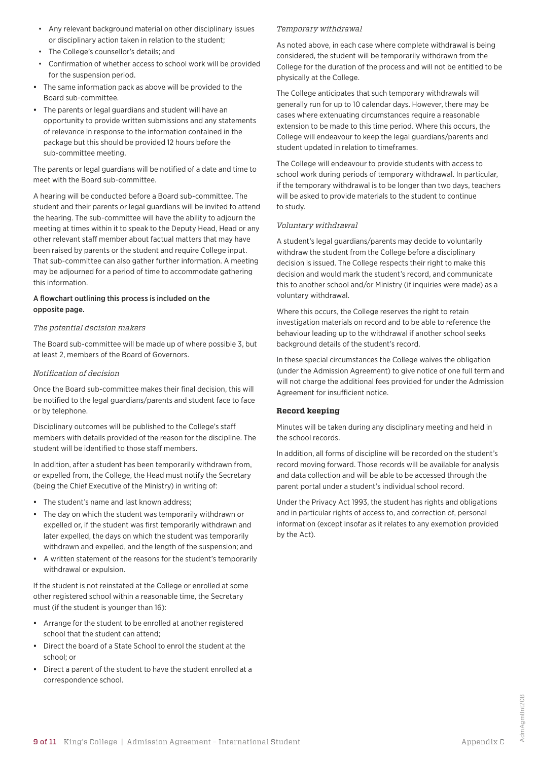- Any relevant background material on other disciplinary issues or disciplinary action taken in relation to the student;
- The College's counsellor's details; and
- Confirmation of whether access to school work will be provided for the suspension period.
- **•** The same information pack as above will be provided to the Board sub-committee.
- **•** The parents or legal guardians and student will have an opportunity to provide written submissions and any statements of relevance in response to the information contained in the package but this should be provided 12 hours before the sub-committee meeting.

The parents or legal guardians will be notified of a date and time to meet with the Board sub-committee.

A hearing will be conducted before a Board sub-committee. The student and their parents or legal guardians will be invited to attend the hearing. The sub-committee will have the ability to adjourn the meeting at times within it to speak to the Deputy Head, Head or any other relevant staff member about factual matters that may have been raised by parents or the student and require College input. That sub-committee can also gather further information. A meeting may be adjourned for a period of time to accommodate gathering this information.

#### A flowchart outlining this process is included on the opposite page.

#### *The potential decision makers*

The Board sub-committee will be made up of where possible 3, but at least 2, members of the Board of Governors.

#### *Notification of decision*

Once the Board sub-committee makes their final decision, this will be notified to the legal guardians/parents and student face to face or by telephone.

Disciplinary outcomes will be published to the College's staff members with details provided of the reason for the discipline. The student will be identified to those staff members.

In addition, after a student has been temporarily withdrawn from, or expelled from, the College, the Head must notify the Secretary (being the Chief Executive of the Ministry) in writing of:

- **•** The student's name and last known address;
- **•** The day on which the student was temporarily withdrawn or expelled or, if the student was first temporarily withdrawn and later expelled, the days on which the student was temporarily withdrawn and expelled, and the length of the suspension; and
- **•** A written statement of the reasons for the student's temporarily withdrawal or expulsion.

If the student is not reinstated at the College or enrolled at some other registered school within a reasonable time, the Secretary must (if the student is younger than 16):

- **•** Arrange for the student to be enrolled at another registered school that the student can attend;
- **•** Direct the board of a State School to enrol the student at the school; or
- **•** Direct a parent of the student to have the student enrolled at a correspondence school.

#### *Temporary withdrawal*

As noted above, in each case where complete withdrawal is being considered, the student will be temporarily withdrawn from the College for the duration of the process and will not be entitled to be physically at the College.

The College anticipates that such temporary withdrawals will generally run for up to 10 calendar days. However, there may be cases where extenuating circumstances require a reasonable extension to be made to this time period. Where this occurs, the College will endeavour to keep the legal guardians/parents and student updated in relation to timeframes.

The College will endeavour to provide students with access to school work during periods of temporary withdrawal. In particular, if the temporary withdrawal is to be longer than two days, teachers will be asked to provide materials to the student to continue to study.

#### *Voluntary withdrawal*

A student's legal guardians/parents may decide to voluntarily withdraw the student from the College before a disciplinary decision is issued. The College respects their right to make this decision and would mark the student's record, and communicate this to another school and/or Ministry (if inquiries were made) as a voluntary withdrawal.

Where this occurs, the College reserves the right to retain investigation materials on record and to be able to reference the behaviour leading up to the withdrawal if another school seeks background details of the student's record.

In these special circumstances the College waives the obligation (under the Admission Agreement) to give notice of one full term and will not charge the additional fees provided for under the Admission Agreement for insufficient notice.

#### **Record keeping**

Minutes will be taken during any disciplinary meeting and held in the school records.

In addition, all forms of discipline will be recorded on the student's record moving forward. Those records will be available for analysis and data collection and will be able to be accessed through the parent portal under a student's individual school record.

Under the Privacy Act 1993, the student has rights and obligations and in particular rights of access to, and correction of, personal information (except insofar as it relates to any exemption provided by the Act).